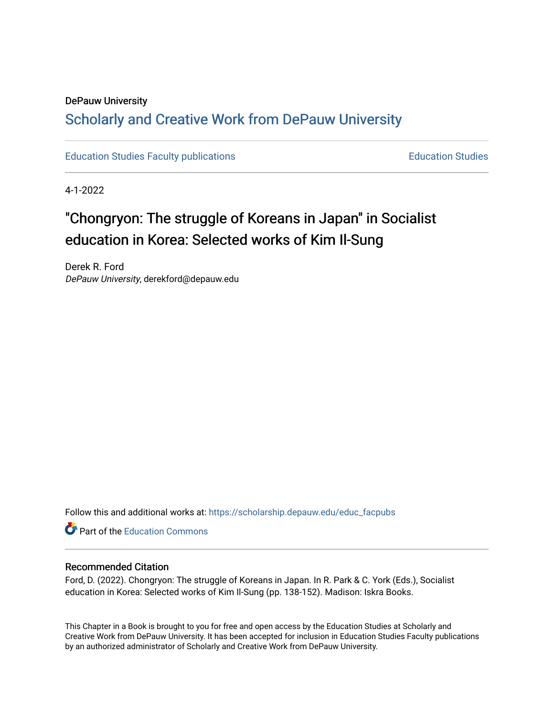# DePauw University Scholarly and [Creative Work from DePauw Univ](https://scholarship.depauw.edu/)ersity

[Education Studies Faculty publications](https://scholarship.depauw.edu/educ_facpubs) **Education Studies** Education Studies

4-1-2022

# "Chongryon: The struggle of Koreans in Japan" in Socialist education in Korea: Selected works of Kim Il-Sung

Derek R. Ford DePauw University, derekford@depauw.edu

Follow this and additional works at: [https://scholarship.depauw.edu/educ\\_facpubs](https://scholarship.depauw.edu/educ_facpubs?utm_source=scholarship.depauw.edu%2Feduc_facpubs%2F37&utm_medium=PDF&utm_campaign=PDFCoverPages)

**C** Part of the [Education Commons](https://network.bepress.com/hgg/discipline/784?utm_source=scholarship.depauw.edu%2Feduc_facpubs%2F37&utm_medium=PDF&utm_campaign=PDFCoverPages)

#### Recommended Citation

Ford, D. (2022). Chongryon: The struggle of Koreans in Japan. In R. Park & C. York (Eds.), Socialist education in Korea: Selected works of Kim Il-Sung (pp. 138-152). Madison: Iskra Books.

This Chapter in a Book is brought to you for free and open access by the Education Studies at Scholarly and Creative Work from DePauw University. It has been accepted for inclusion in Education Studies Faculty publications by an authorized administrator of Scholarly and Creative Work from DePauw University.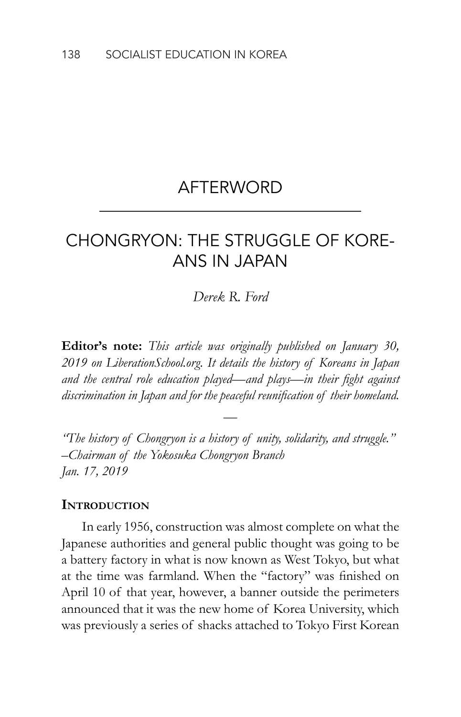## AFTERWORD

# CHONGRYON: THE STRUGGLE OF KORE-ANS IN JAPAN

#### *Derek R. Ford*

**Editor's note:** *This article was originally published on January 30, 2019 on LiberationSchool.org. It details the history of Koreans in Japan and the central role education played—and plays—in their fight against discrimination in Japan and for the peaceful reunification of their homeland.*

*"The history of Chongryon is a history of unity, solidarity, and struggle." –Chairman of the Yokosuka Chongryon Branch Jan. 17, 2019*

—

#### **Introduction**

In early 1956, construction was almost complete on what the Japanese authorities and general public thought was going to be a battery factory in what is now known as West Tokyo, but what at the time was farmland. When the "factory" was finished on April 10 of that year, however, a banner outside the perimeters announced that it was the new home of Korea University, which was previously a series of shacks attached to Tokyo First Korean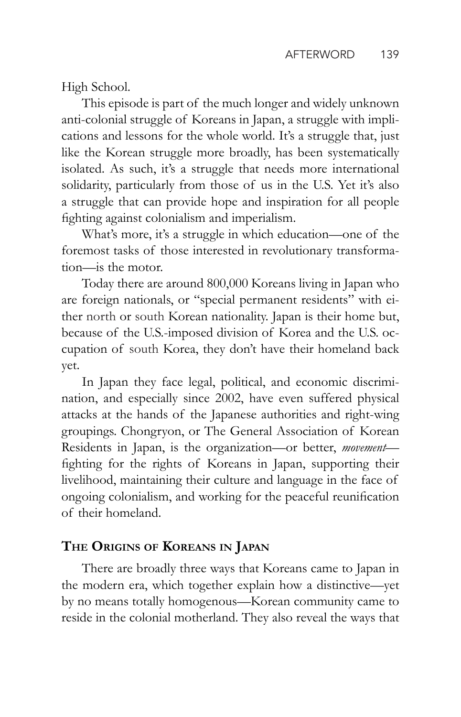High School.

This episode is part of the much longer and widely unknown anti-colonial struggle of Koreans in Japan, a struggle with implications and lessons for the whole world. It's a struggle that, just like the Korean struggle more broadly, has been systematically isolated. As such, it's a struggle that needs more international solidarity, particularly from those of us in the U.S. Yet it's also a struggle that can provide hope and inspiration for all people fighting against colonialism and imperialism.

What's more, it's a struggle in which education—one of the foremost tasks of those interested in revolutionary transformation—is the motor.

Today there are around 800,000 Koreans living in Japan who are foreign nationals, or "special permanent residents" with either north or south Korean nationality. Japan is their home but, because of the U.S.-imposed division of Korea and the U.S. occupation of south Korea, they don't have their homeland back yet.

In Japan they face legal, political, and economic discrimination, and especially since 2002, have even suffered physical attacks at the hands of the Japanese authorities and right-wing groupings. Chongryon, or The General Association of Korean Residents in Japan, is the organization—or better, *movement* fighting for the rights of Koreans in Japan, supporting their livelihood, maintaining their culture and language in the face of ongoing colonialism, and working for the peaceful reunification of their homeland.

## **The Origins of Koreans in Japan**

There are broadly three ways that Koreans came to Japan in the modern era, which together explain how a distinctive—yet by no means totally homogenous—Korean community came to reside in the colonial motherland. They also reveal the ways that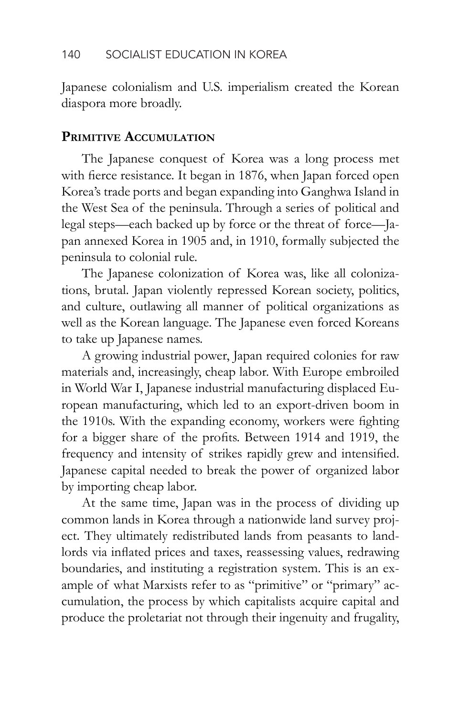Japanese colonialism and U.S. imperialism created the Korean diaspora more broadly.

### **Primitive Accumulation**

The Japanese conquest of Korea was a long process met with fierce resistance. It began in 1876, when Japan forced open Korea's trade ports and began expanding into Ganghwa Island in the West Sea of the peninsula. Through a series of political and legal steps—each backed up by force or the threat of force—Japan annexed Korea in 1905 and, in 1910, formally subjected the peninsula to colonial rule.

The Japanese colonization of Korea was, like all colonizations, brutal. Japan violently repressed Korean society, politics, and culture, outlawing all manner of political organizations as well as the Korean language. The Japanese even forced Koreans to take up Japanese names.

A growing industrial power, Japan required colonies for raw materials and, increasingly, cheap labor. With Europe embroiled in World War I, Japanese industrial manufacturing displaced European manufacturing, which led to an export-driven boom in the 1910s. With the expanding economy, workers were fighting for a bigger share of the profits. Between 1914 and 1919, the frequency and intensity of strikes rapidly grew and intensified. Japanese capital needed to break the power of organized labor by importing cheap labor.

At the same time, Japan was in the process of dividing up common lands in Korea through a nationwide land survey project. They ultimately redistributed lands from peasants to landlords via inflated prices and taxes, reassessing values, redrawing boundaries, and instituting a registration system. This is an example of what Marxists refer to as "primitive" or "primary" accumulation, the process by which capitalists acquire capital and produce the proletariat not through their ingenuity and frugality,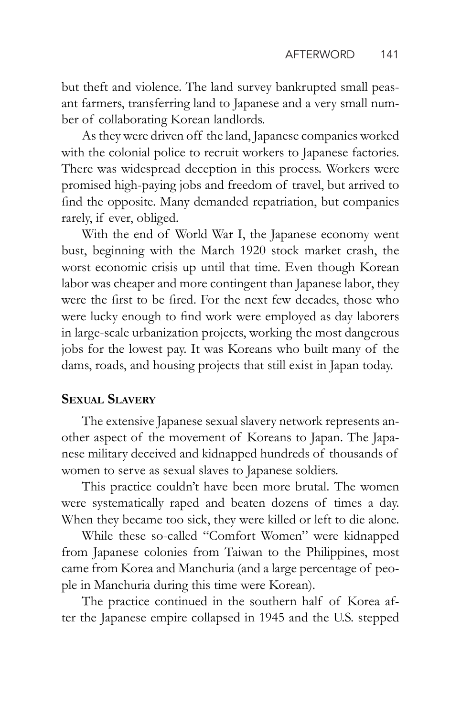but theft and violence. The land survey bankrupted small peasant farmers, transferring land to Japanese and a very small number of collaborating Korean landlords.

As they were driven off the land, Japanese companies worked with the colonial police to recruit workers to Japanese factories. There was widespread deception in this process. Workers were promised high-paying jobs and freedom of travel, but arrived to find the opposite. Many demanded repatriation, but companies rarely, if ever, obliged.

With the end of World War I, the Japanese economy went bust, beginning with the March 1920 stock market crash, the worst economic crisis up until that time. Even though Korean labor was cheaper and more contingent than Japanese labor, they were the first to be fired. For the next few decades, those who were lucky enough to find work were employed as day laborers in large-scale urbanization projects, working the most dangerous jobs for the lowest pay. It was Koreans who built many of the dams, roads, and housing projects that still exist in Japan today.

### **Sexual Slavery**

The extensive Japanese sexual slavery network represents another aspect of the movement of Koreans to Japan. The Japanese military deceived and kidnapped hundreds of thousands of women to serve as sexual slaves to Japanese soldiers.

This practice couldn't have been more brutal. The women were systematically raped and beaten dozens of times a day. When they became too sick, they were killed or left to die alone.

While these so-called "Comfort Women" were kidnapped from Japanese colonies from Taiwan to the Philippines, most came from Korea and Manchuria (and a large percentage of people in Manchuria during this time were Korean).

The practice continued in the southern half of Korea after the Japanese empire collapsed in 1945 and the U.S. stepped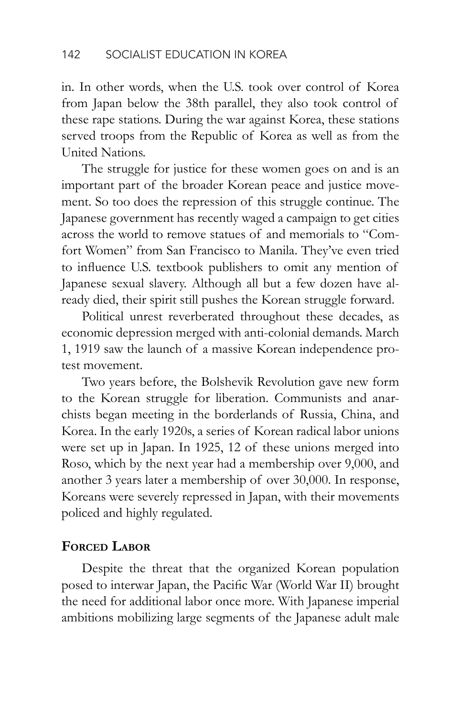in. In other words, when the U.S. took over control of Korea from Japan below the 38th parallel, they also took control of these rape stations. During the war against Korea, these stations served troops from the Republic of Korea as well as from the United Nations.

The struggle for justice for these women goes on and is an important part of the broader Korean peace and justice movement. So too does the repression of this struggle continue. The Japanese government has recently waged a campaign to get cities across the world to remove statues of and memorials to "Comfort Women" from San Francisco to Manila. They've even tried to influence U.S. textbook publishers to omit any mention of Japanese sexual slavery. Although all but a few dozen have already died, their spirit still pushes the Korean struggle forward.

Political unrest reverberated throughout these decades, as economic depression merged with anti-colonial demands. March 1, 1919 saw the launch of a massive Korean independence protest movement.

Two years before, the Bolshevik Revolution gave new form to the Korean struggle for liberation. Communists and anarchists began meeting in the borderlands of Russia, China, and Korea. In the early 1920s, a series of Korean radical labor unions were set up in Japan. In 1925, 12 of these unions merged into Roso, which by the next year had a membership over 9,000, and another 3 years later a membership of over 30,000. In response, Koreans were severely repressed in Japan, with their movements policed and highly regulated.

### **Forced Labor**

Despite the threat that the organized Korean population posed to interwar Japan, the Pacific War (World War II) brought the need for additional labor once more. With Japanese imperial ambitions mobilizing large segments of the Japanese adult male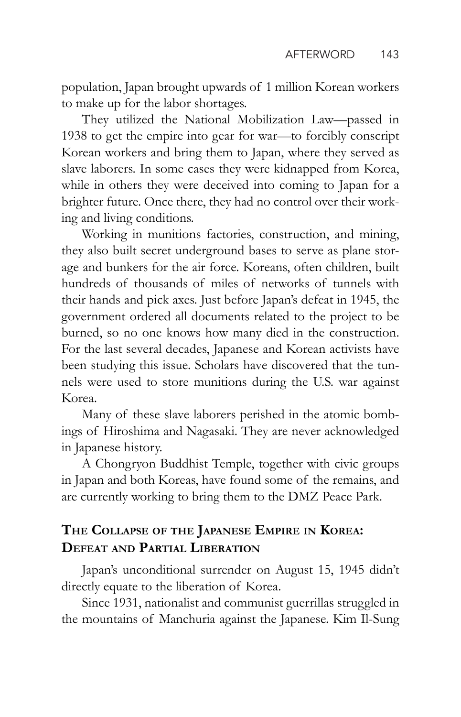population, Japan brought upwards of 1 million Korean workers to make up for the labor shortages.

They utilized the National Mobilization Law—passed in 1938 to get the empire into gear for war—to forcibly conscript Korean workers and bring them to Japan, where they served as slave laborers. In some cases they were kidnapped from Korea, while in others they were deceived into coming to Japan for a brighter future. Once there, they had no control over their working and living conditions.

Working in munitions factories, construction, and mining, they also built secret underground bases to serve as plane storage and bunkers for the air force. Koreans, often children, built hundreds of thousands of miles of networks of tunnels with their hands and pick axes. Just before Japan's defeat in 1945, the government ordered all documents related to the project to be burned, so no one knows how many died in the construction. For the last several decades, Japanese and Korean activists have been studying this issue. Scholars have discovered that the tunnels were used to store munitions during the U.S. war against Korea.

Many of these slave laborers perished in the atomic bombings of Hiroshima and Nagasaki. They are never acknowledged in Japanese history.

A Chongryon Buddhist Temple, together with civic groups in Japan and both Koreas, have found some of the remains, and are currently working to bring them to the DMZ Peace Park.

## **The Collapse of the Japanese Empire in Korea: Defeat and Partial Liberation**

Japan's unconditional surrender on August 15, 1945 didn't directly equate to the liberation of Korea.

Since 1931, nationalist and communist guerrillas struggled in the mountains of Manchuria against the Japanese. Kim Il-Sung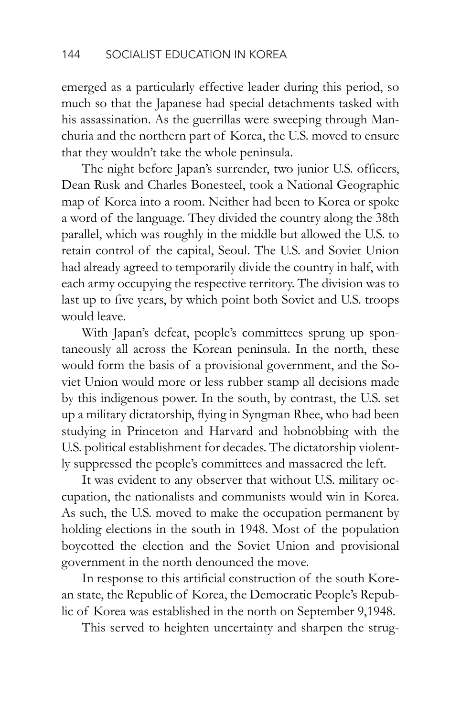emerged as a particularly effective leader during this period, so much so that the Japanese had special detachments tasked with his assassination. As the guerrillas were sweeping through Manchuria and the northern part of Korea, the U.S. moved to ensure that they wouldn't take the whole peninsula.

The night before Japan's surrender, two junior U.S. officers, Dean Rusk and Charles Bonesteel, took a National Geographic map of Korea into a room. Neither had been to Korea or spoke a word of the language. They divided the country along the 38th parallel, which was roughly in the middle but allowed the U.S. to retain control of the capital, Seoul. The U.S. and Soviet Union had already agreed to temporarily divide the country in half, with each army occupying the respective territory. The division was to last up to five years, by which point both Soviet and U.S. troops would leave.

With Japan's defeat, people's committees sprung up spontaneously all across the Korean peninsula. In the north, these would form the basis of a provisional government, and the Soviet Union would more or less rubber stamp all decisions made by this indigenous power. In the south, by contrast, the U.S. set up a military dictatorship, flying in Syngman Rhee, who had been studying in Princeton and Harvard and hobnobbing with the U.S. political establishment for decades. The dictatorship violently suppressed the people's committees and massacred the left.

It was evident to any observer that without U.S. military occupation, the nationalists and communists would win in Korea. As such, the U.S. moved to make the occupation permanent by holding elections in the south in 1948. Most of the population boycotted the election and the Soviet Union and provisional government in the north denounced the move.

In response to this artificial construction of the south Korean state, the Republic of Korea, the Democratic People's Republic of Korea was established in the north on September 9,1948.

This served to heighten uncertainty and sharpen the strug-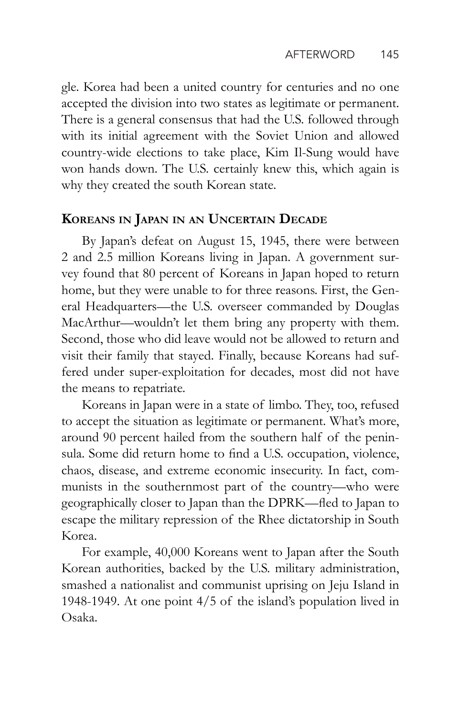gle. Korea had been a united country for centuries and no one accepted the division into two states as legitimate or permanent. There is a general consensus that had the U.S. followed through with its initial agreement with the Soviet Union and allowed country-wide elections to take place, Kim Il-Sung would have won hands down. The U.S. certainly knew this, which again is why they created the south Korean state.

### **Koreans in Japan in an Uncertain Decade**

By Japan's defeat on August 15, 1945, there were between 2 and 2.5 million Koreans living in Japan. A government survey found that 80 percent of Koreans in Japan hoped to return home, but they were unable to for three reasons. First, the General Headquarters—the U.S. overseer commanded by Douglas MacArthur—wouldn't let them bring any property with them. Second, those who did leave would not be allowed to return and visit their family that stayed. Finally, because Koreans had suffered under super-exploitation for decades, most did not have the means to repatriate.

Koreans in Japan were in a state of limbo. They, too, refused to accept the situation as legitimate or permanent. What's more, around 90 percent hailed from the southern half of the peninsula. Some did return home to find a U.S. occupation, violence, chaos, disease, and extreme economic insecurity. In fact, communists in the southernmost part of the country—who were geographically closer to Japan than the DPRK—fled to Japan to escape the military repression of the Rhee dictatorship in South Korea.

For example, 40,000 Koreans went to Japan after the South Korean authorities, backed by the U.S. military administration, smashed a nationalist and communist uprising on Jeju Island in 1948-1949. At one point 4/5 of the island's population lived in Osaka.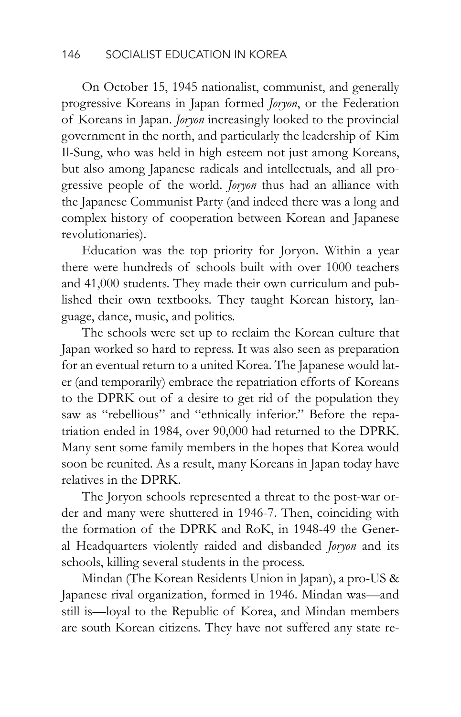On October 15, 1945 nationalist, communist, and generally progressive Koreans in Japan formed *Joryon*, or the Federation of Koreans in Japan. *Joryon* increasingly looked to the provincial government in the north, and particularly the leadership of Kim Il-Sung, who was held in high esteem not just among Koreans, but also among Japanese radicals and intellectuals, and all progressive people of the world. *Joryon* thus had an alliance with the Japanese Communist Party (and indeed there was a long and complex history of cooperation between Korean and Japanese revolutionaries).

Education was the top priority for Joryon. Within a year there were hundreds of schools built with over 1000 teachers and 41,000 students. They made their own curriculum and published their own textbooks. They taught Korean history, language, dance, music, and politics.

The schools were set up to reclaim the Korean culture that Japan worked so hard to repress. It was also seen as preparation for an eventual return to a united Korea. The Japanese would later (and temporarily) embrace the repatriation efforts of Koreans to the DPRK out of a desire to get rid of the population they saw as "rebellious" and "ethnically inferior." Before the repatriation ended in 1984, over 90,000 had returned to the DPRK. Many sent some family members in the hopes that Korea would soon be reunited. As a result, many Koreans in Japan today have relatives in the DPRK.

The Joryon schools represented a threat to the post-war order and many were shuttered in 1946-7. Then, coinciding with the formation of the DPRK and RoK, in 1948-49 the General Headquarters violently raided and disbanded *Joryon* and its schools, killing several students in the process.

Mindan (The Korean Residents Union in Japan), a pro-US & Japanese rival organization, formed in 1946. Mindan was—and still is—loyal to the Republic of Korea, and Mindan members are south Korean citizens. They have not suffered any state re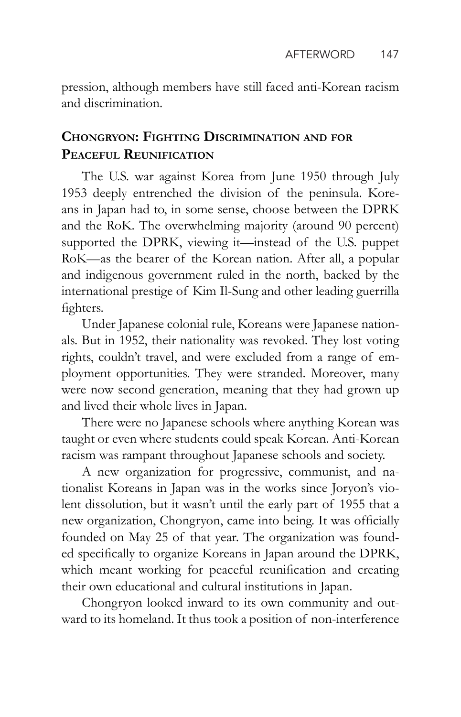pression, although members have still faced anti-Korean racism and discrimination.

### **Chongryon: Fighting Discrimination and for Peaceful Reunification**

The U.S. war against Korea from June 1950 through July 1953 deeply entrenched the division of the peninsula. Koreans in Japan had to, in some sense, choose between the DPRK and the RoK. The overwhelming majority (around 90 percent) supported the DPRK, viewing it—instead of the U.S. puppet RoK—as the bearer of the Korean nation. After all, a popular and indigenous government ruled in the north, backed by the international prestige of Kim Il-Sung and other leading guerrilla fighters.

Under Japanese colonial rule, Koreans were Japanese nationals. But in 1952, their nationality was revoked. They lost voting rights, couldn't travel, and were excluded from a range of employment opportunities. They were stranded. Moreover, many were now second generation, meaning that they had grown up and lived their whole lives in Japan.

There were no Japanese schools where anything Korean was taught or even where students could speak Korean. Anti-Korean racism was rampant throughout Japanese schools and society.

A new organization for progressive, communist, and nationalist Koreans in Japan was in the works since Joryon's violent dissolution, but it wasn't until the early part of 1955 that a new organization, Chongryon, came into being. It was officially founded on May 25 of that year. The organization was founded specifically to organize Koreans in Japan around the DPRK, which meant working for peaceful reunification and creating their own educational and cultural institutions in Japan.

Chongryon looked inward to its own community and outward to its homeland. It thus took a position of non-interference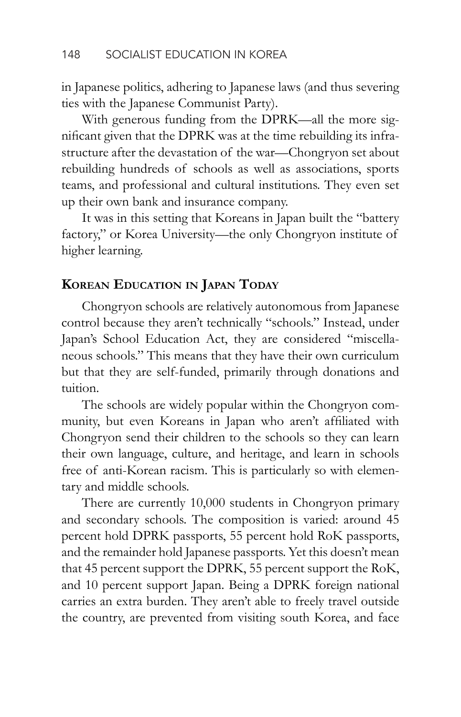in Japanese politics, adhering to Japanese laws (and thus severing ties with the Japanese Communist Party).

With generous funding from the DPRK—all the more significant given that the DPRK was at the time rebuilding its infrastructure after the devastation of the war—Chongryon set about rebuilding hundreds of schools as well as associations, sports teams, and professional and cultural institutions. They even set up their own bank and insurance company.

It was in this setting that Koreans in Japan built the "battery factory," or Korea University—the only Chongryon institute of higher learning.

### **Korean Education in Japan Today**

Chongryon schools are relatively autonomous from Japanese control because they aren't technically "schools." Instead, under Japan's School Education Act, they are considered "miscellaneous schools." This means that they have their own curriculum but that they are self-funded, primarily through donations and tuition.

The schools are widely popular within the Chongryon community, but even Koreans in Japan who aren't affiliated with Chongryon send their children to the schools so they can learn their own language, culture, and heritage, and learn in schools free of anti-Korean racism. This is particularly so with elementary and middle schools.

There are currently 10,000 students in Chongryon primary and secondary schools. The composition is varied: around 45 percent hold DPRK passports, 55 percent hold RoK passports, and the remainder hold Japanese passports. Yet this doesn't mean that 45 percent support the DPRK, 55 percent support the RoK, and 10 percent support Japan. Being a DPRK foreign national carries an extra burden. They aren't able to freely travel outside the country, are prevented from visiting south Korea, and face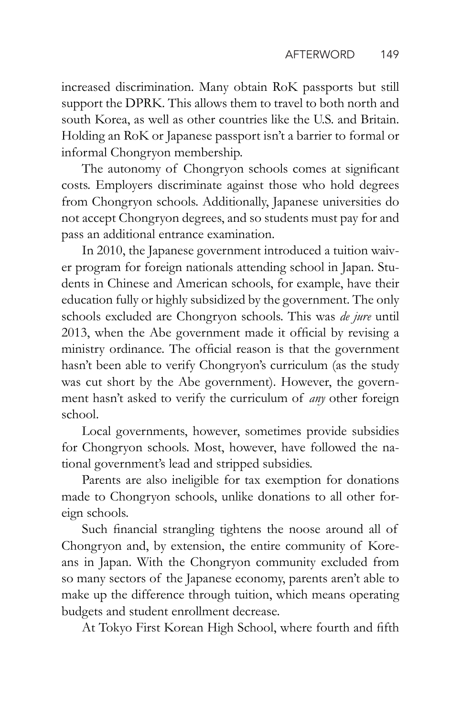increased discrimination. Many obtain RoK passports but still support the DPRK. This allows them to travel to both north and south Korea, as well as other countries like the U.S. and Britain. Holding an RoK or Japanese passport isn't a barrier to formal or informal Chongryon membership.

The autonomy of Chongryon schools comes at significant costs. Employers discriminate against those who hold degrees from Chongryon schools. Additionally, Japanese universities do not accept Chongryon degrees, and so students must pay for and pass an additional entrance examination.

In 2010, the Japanese government introduced a tuition waiver program for foreign nationals attending school in Japan. Students in Chinese and American schools, for example, have their education fully or highly subsidized by the government. The only schools excluded are Chongryon schools. This was *de jure* until 2013, when the Abe government made it official by revising a ministry ordinance. The official reason is that the government hasn't been able to verify Chongryon's curriculum (as the study was cut short by the Abe government). However, the government hasn't asked to verify the curriculum of *any* other foreign school.

Local governments, however, sometimes provide subsidies for Chongryon schools. Most, however, have followed the national government's lead and stripped subsidies.

Parents are also ineligible for tax exemption for donations made to Chongryon schools, unlike donations to all other foreign schools.

Such financial strangling tightens the noose around all of Chongryon and, by extension, the entire community of Koreans in Japan. With the Chongryon community excluded from so many sectors of the Japanese economy, parents aren't able to make up the difference through tuition, which means operating budgets and student enrollment decrease.

At Tokyo First Korean High School, where fourth and fifth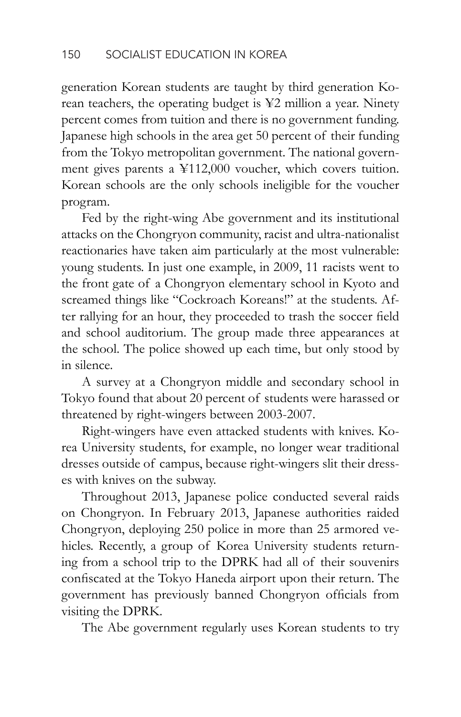generation Korean students are taught by third generation Korean teachers, the operating budget is ¥2 million a year. Ninety percent comes from tuition and there is no government funding. Japanese high schools in the area get 50 percent of their funding from the Tokyo metropolitan government. The national government gives parents a ¥112,000 voucher, which covers tuition. Korean schools are the only schools ineligible for the voucher program.

Fed by the right-wing Abe government and its institutional attacks on the Chongryon community, racist and ultra-nationalist reactionaries have taken aim particularly at the most vulnerable: young students. In just one example, in 2009, 11 racists went to the front gate of a Chongryon elementary school in Kyoto and screamed things like "Cockroach Koreans!" at the students. After rallying for an hour, they proceeded to trash the soccer field and school auditorium. The group made three appearances at the school. The police showed up each time, but only stood by in silence.

A survey at a Chongryon middle and secondary school in Tokyo found that about 20 percent of students were harassed or threatened by right-wingers between 2003-2007.

Right-wingers have even attacked students with knives. Korea University students, for example, no longer wear traditional dresses outside of campus, because right-wingers slit their dresses with knives on the subway.

Throughout 2013, Japanese police conducted several raids on Chongryon. In February 2013, Japanese authorities raided Chongryon, deploying 250 police in more than 25 armored vehicles. Recently, a group of Korea University students returning from a school trip to the DPRK had all of their souvenirs confiscated at the Tokyo Haneda airport upon their return. The government has previously banned Chongryon officials from visiting the DPRK.

The Abe government regularly uses Korean students to try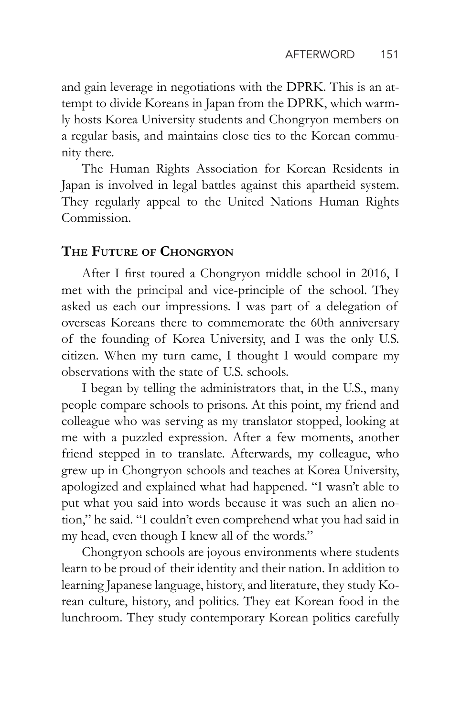and gain leverage in negotiations with the DPRK. This is an attempt to divide Koreans in Japan from the DPRK, which warmly hosts Korea University students and Chongryon members on a regular basis, and maintains close ties to the Korean community there.

The Human Rights Association for Korean Residents in Japan is involved in legal battles against this apartheid system. They regularly appeal to the United Nations Human Rights Commission.

### **The Future of Chongryon**

After I first toured a Chongryon middle school in 2016, I met with the principal and vice-principle of the school. They asked us each our impressions. I was part of a delegation of overseas Koreans there to commemorate the 60th anniversary of the founding of Korea University, and I was the only U.S. citizen. When my turn came, I thought I would compare my observations with the state of U.S. schools.

I began by telling the administrators that, in the U.S., many people compare schools to prisons. At this point, my friend and colleague who was serving as my translator stopped, looking at me with a puzzled expression. After a few moments, another friend stepped in to translate. Afterwards, my colleague, who grew up in Chongryon schools and teaches at Korea University, apologized and explained what had happened. "I wasn't able to put what you said into words because it was such an alien notion," he said. "I couldn't even comprehend what you had said in my head, even though I knew all of the words."

Chongryon schools are joyous environments where students learn to be proud of their identity and their nation. In addition to learning Japanese language, history, and literature, they study Korean culture, history, and politics. They eat Korean food in the lunchroom. They study contemporary Korean politics carefully